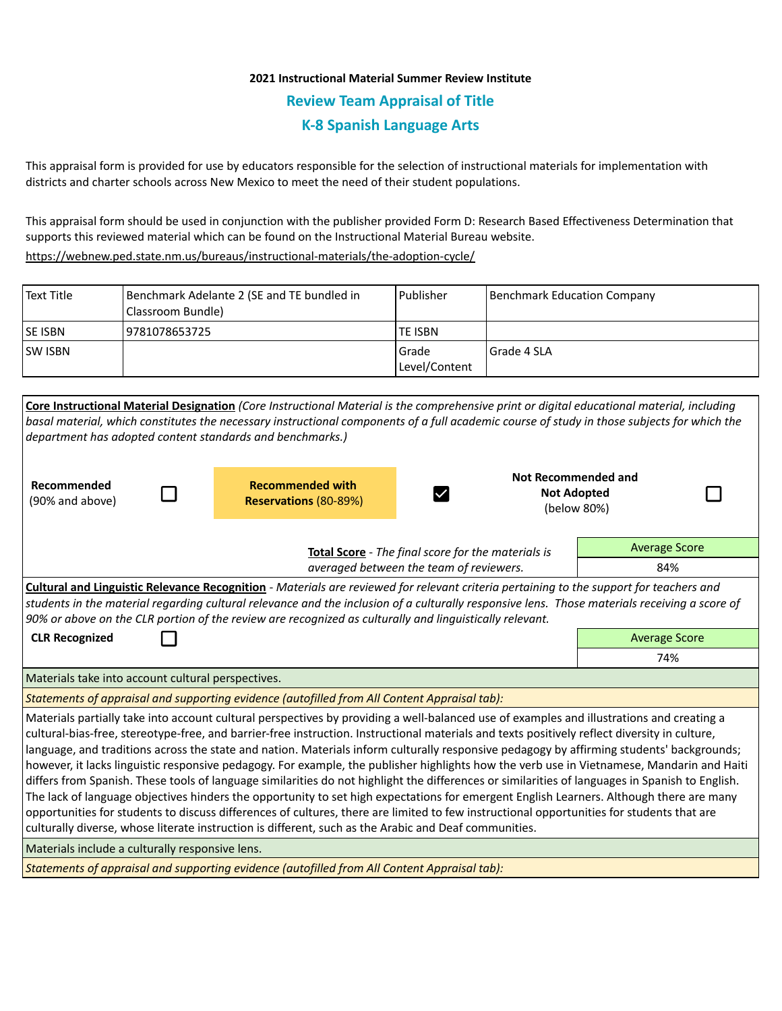## **2021 Instructional Material Summer Review Institute Review Team Appraisal of Title K-8 Spanish Language Arts**

This appraisal form is provided for use by educators responsible for the selection of instructional materials for implementation with districts and charter schools across New Mexico to meet the need of their student populations.

This appraisal form should be used in conjunction with the publisher provided Form D: Research Based Effectiveness Determination that supports this reviewed material which can be found on the Instructional Material Bureau website.

<https://webnew.ped.state.nm.us/bureaus/instructional-materials/the-adoption-cycle/>

| Text Title     | Benchmark Adelante 2 (SE and TE bundled in<br> Classroom Bundle) | l Publisher              | Benchmark Education Company |
|----------------|------------------------------------------------------------------|--------------------------|-----------------------------|
| <b>SE ISBN</b> | 19781078653725                                                   | <b>TE ISBN</b>           |                             |
| <b>SW ISBN</b> |                                                                  | l Grade<br>Level/Content | Grade 4 SLA                 |

| Core Instructional Material Designation (Core Instructional Material is the comprehensive print or digital educational material, including<br>basal material, which constitutes the necessary instructional components of a full academic course of study in those subjects for which the<br>department has adopted content standards and benchmarks.)                                                                                                                                                                                                                                                                                                                                                                                                                                                                                                                                                                                                                                                                                                                                                                                    |                                                    |                                                  |  |                                                          |  |  |  |  |
|-------------------------------------------------------------------------------------------------------------------------------------------------------------------------------------------------------------------------------------------------------------------------------------------------------------------------------------------------------------------------------------------------------------------------------------------------------------------------------------------------------------------------------------------------------------------------------------------------------------------------------------------------------------------------------------------------------------------------------------------------------------------------------------------------------------------------------------------------------------------------------------------------------------------------------------------------------------------------------------------------------------------------------------------------------------------------------------------------------------------------------------------|----------------------------------------------------|--------------------------------------------------|--|----------------------------------------------------------|--|--|--|--|
| Recommended<br>(90% and above)                                                                                                                                                                                                                                                                                                                                                                                                                                                                                                                                                                                                                                                                                                                                                                                                                                                                                                                                                                                                                                                                                                            |                                                    | <b>Recommended with</b><br>Reservations (80-89%) |  | Not Recommended and<br><b>Not Adopted</b><br>(below 80%) |  |  |  |  |
|                                                                                                                                                                                                                                                                                                                                                                                                                                                                                                                                                                                                                                                                                                                                                                                                                                                                                                                                                                                                                                                                                                                                           | Total Score - The final score for the materials is |                                                  |  | <b>Average Score</b>                                     |  |  |  |  |
| averaged between the team of reviewers.                                                                                                                                                                                                                                                                                                                                                                                                                                                                                                                                                                                                                                                                                                                                                                                                                                                                                                                                                                                                                                                                                                   |                                                    |                                                  |  | 84%                                                      |  |  |  |  |
| Cultural and Linguistic Relevance Recognition - Materials are reviewed for relevant criteria pertaining to the support for teachers and<br>students in the material regarding cultural relevance and the inclusion of a culturally responsive lens. Those materials receiving a score of<br>90% or above on the CLR portion of the review are recognized as culturally and linguistically relevant.                                                                                                                                                                                                                                                                                                                                                                                                                                                                                                                                                                                                                                                                                                                                       |                                                    |                                                  |  |                                                          |  |  |  |  |
| <b>CLR Recognized</b>                                                                                                                                                                                                                                                                                                                                                                                                                                                                                                                                                                                                                                                                                                                                                                                                                                                                                                                                                                                                                                                                                                                     |                                                    |                                                  |  | <b>Average Score</b>                                     |  |  |  |  |
|                                                                                                                                                                                                                                                                                                                                                                                                                                                                                                                                                                                                                                                                                                                                                                                                                                                                                                                                                                                                                                                                                                                                           |                                                    |                                                  |  | 74%                                                      |  |  |  |  |
| Materials take into account cultural perspectives.                                                                                                                                                                                                                                                                                                                                                                                                                                                                                                                                                                                                                                                                                                                                                                                                                                                                                                                                                                                                                                                                                        |                                                    |                                                  |  |                                                          |  |  |  |  |
| Statements of appraisal and supporting evidence (autofilled from All Content Appraisal tab):                                                                                                                                                                                                                                                                                                                                                                                                                                                                                                                                                                                                                                                                                                                                                                                                                                                                                                                                                                                                                                              |                                                    |                                                  |  |                                                          |  |  |  |  |
| Materials partially take into account cultural perspectives by providing a well-balanced use of examples and illustrations and creating a<br>cultural-bias-free, stereotype-free, and barrier-free instruction. Instructional materials and texts positively reflect diversity in culture,<br>language, and traditions across the state and nation. Materials inform culturally responsive pedagogy by affirming students' backgrounds;<br>however, it lacks linguistic responsive pedagogy. For example, the publisher highlights how the verb use in Vietnamese, Mandarin and Haiti<br>differs from Spanish. These tools of language similarities do not highlight the differences or similarities of languages in Spanish to English.<br>The lack of language objectives hinders the opportunity to set high expectations for emergent English Learners. Although there are many<br>opportunities for students to discuss differences of cultures, there are limited to few instructional opportunities for students that are<br>culturally diverse, whose literate instruction is different, such as the Arabic and Deaf communities. |                                                    |                                                  |  |                                                          |  |  |  |  |
| Materials include a culturally responsive lens.                                                                                                                                                                                                                                                                                                                                                                                                                                                                                                                                                                                                                                                                                                                                                                                                                                                                                                                                                                                                                                                                                           |                                                    |                                                  |  |                                                          |  |  |  |  |
| Statements of appraisal and supporting evidence (autofilled from All Content Appraisal tab):                                                                                                                                                                                                                                                                                                                                                                                                                                                                                                                                                                                                                                                                                                                                                                                                                                                                                                                                                                                                                                              |                                                    |                                                  |  |                                                          |  |  |  |  |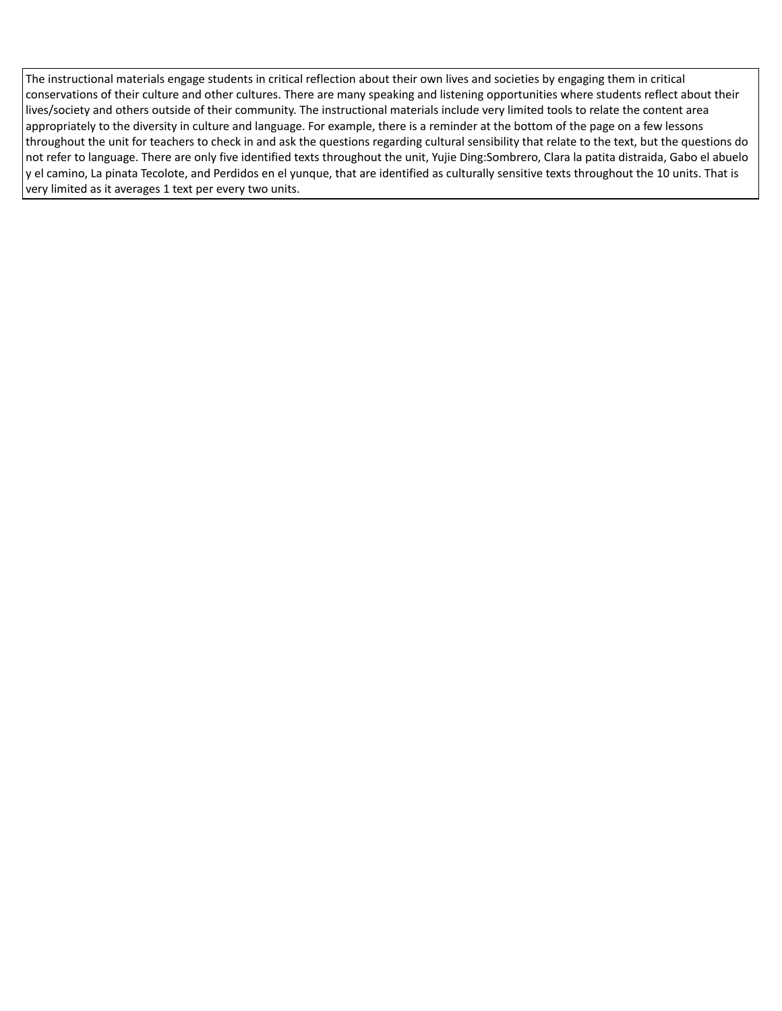The instructional materials engage students in critical reflection about their own lives and societies by engaging them in critical conservations of their culture and other cultures. There are many speaking and listening opportunities where students reflect about their lives/society and others outside of their community. The instructional materials include very limited tools to relate the content area appropriately to the diversity in culture and language. For example, there is a reminder at the bottom of the page on a few lessons throughout the unit for teachers to check in and ask the questions regarding cultural sensibility that relate to the text, but the questions do not refer to language. There are only five identified texts throughout the unit, Yujie Ding:Sombrero, Clara la patita distraida, Gabo el abuelo y el camino, La pinata Tecolote, and Perdidos en el yunque, that are identified as culturally sensitive texts throughout the 10 units. That is very limited as it averages 1 text per every two units.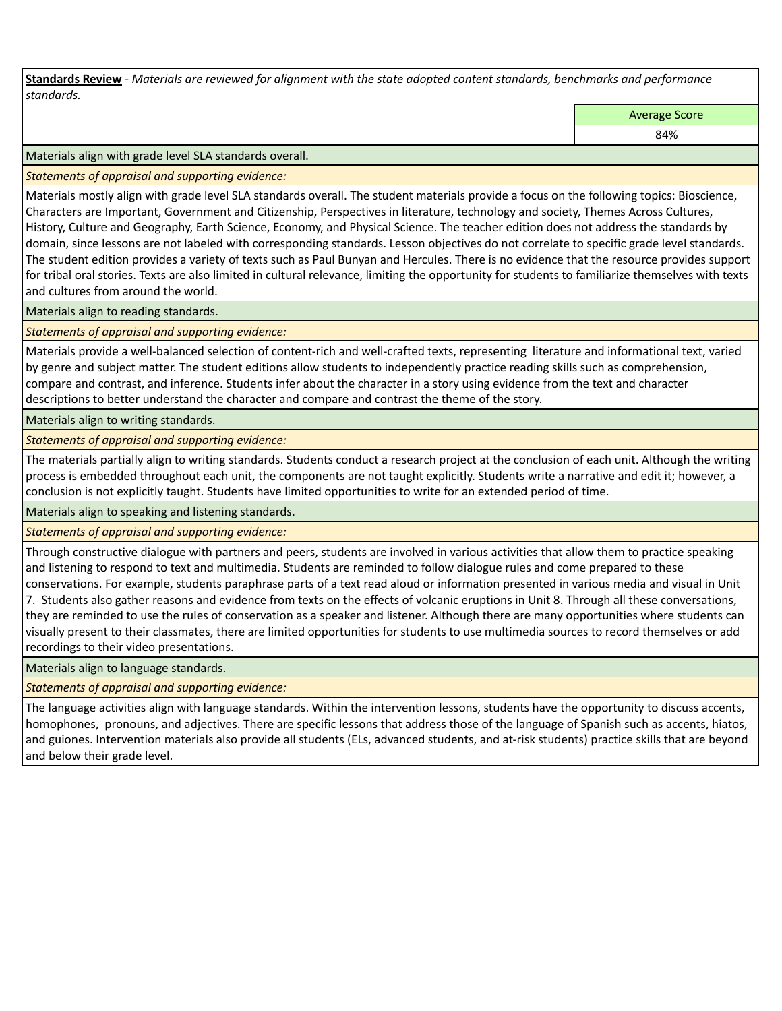**Standards Review** *- Materials are reviewed for alignment with the state adopted content standards, benchmarks and performance standards.*

Average Score

84%

Materials align with grade level SLA standards overall.

*Statements of appraisal and supporting evidence:* 

Materials mostly align with grade level SLA standards overall. The student materials provide a focus on the following topics: Bioscience, Characters are Important, Government and Citizenship, Perspectives in literature, technology and society, Themes Across Cultures, History, Culture and Geography, Earth Science, Economy, and Physical Science. The teacher edition does not address the standards by domain, since lessons are not labeled with corresponding standards. Lesson objectives do not correlate to specific grade level standards. The student edition provides a variety of texts such as Paul Bunyan and Hercules. There is no evidence that the resource provides support for tribal oral stories. Texts are also limited in cultural relevance, limiting the opportunity for students to familiarize themselves with texts and cultures from around the world.

Materials align to reading standards.

*Statements of appraisal and supporting evidence:* 

Materials provide a well-balanced selection of content-rich and well-crafted texts, representing literature and informational text, varied by genre and subject matter. The student editions allow students to independently practice reading skills such as comprehension, compare and contrast, and inference. Students infer about the character in a story using evidence from the text and character descriptions to better understand the character and compare and contrast the theme of the story.

Materials align to writing standards.

*Statements of appraisal and supporting evidence:* 

The materials partially align to writing standards. Students conduct a research project at the conclusion of each unit. Although the writing process is embedded throughout each unit, the components are not taught explicitly. Students write a narrative and edit it; however, a conclusion is not explicitly taught. Students have limited opportunities to write for an extended period of time.

Materials align to speaking and listening standards.

*Statements of appraisal and supporting evidence:* 

Through constructive dialogue with partners and peers, students are involved in various activities that allow them to practice speaking and listening to respond to text and multimedia. Students are reminded to follow dialogue rules and come prepared to these conservations. For example, students paraphrase parts of a text read aloud or information presented in various media and visual in Unit 7. Students also gather reasons and evidence from texts on the effects of volcanic eruptions in Unit 8. Through all these conversations, they are reminded to use the rules of conservation as a speaker and listener. Although there are many opportunities where students can visually present to their classmates, there are limited opportunities for students to use multimedia sources to record themselves or add

recordings to their video presentations.

Materials align to language standards.

*Statements of appraisal and supporting evidence:* 

The language activities align with language standards. Within the intervention lessons, students have the opportunity to discuss accents, homophones, pronouns, and adjectives. There are specific lessons that address those of the language of Spanish such as accents, hiatos, and guiones. Intervention materials also provide all students (ELs, advanced students, and at-risk students) practice skills that are beyond and below their grade level.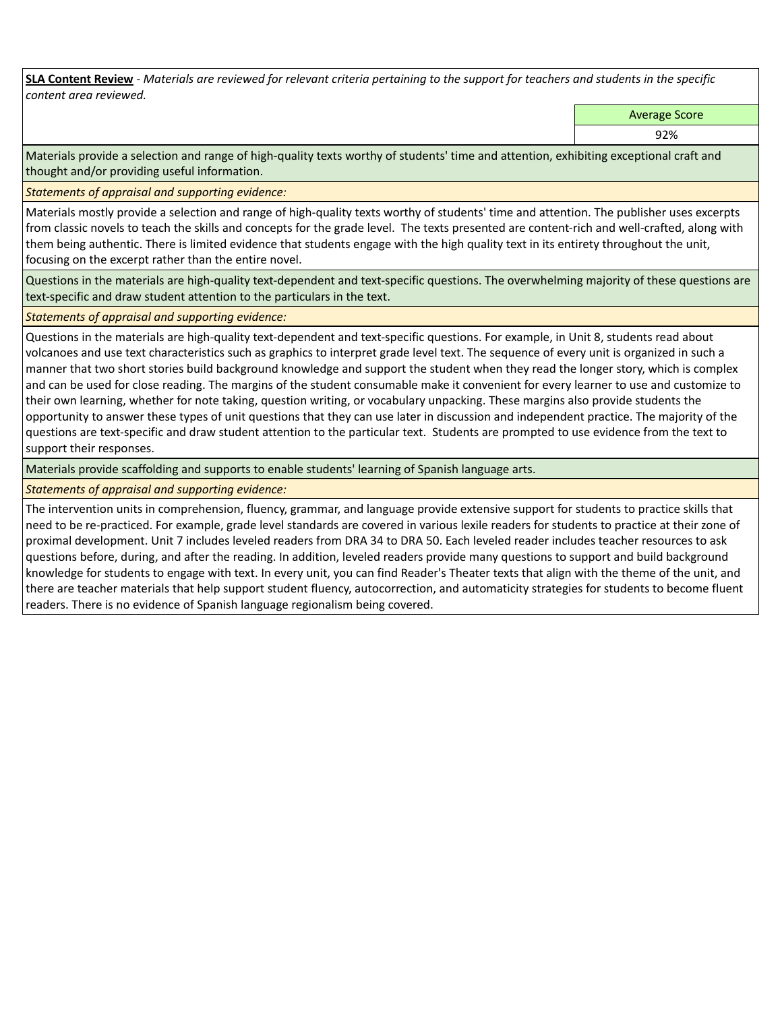**SLA Content Review** *- Materials are reviewed for relevant criteria pertaining to the support for teachers and students in the specific content area reviewed.*

Average Score

92%

Materials provide a selection and range of high-quality texts worthy of students' time and attention, exhibiting exceptional craft and thought and/or providing useful information.

*Statements of appraisal and supporting evidence:* 

Materials mostly provide a selection and range of high-quality texts worthy of students' time and attention. The publisher uses excerpts from classic novels to teach the skills and concepts for the grade level. The texts presented are content-rich and well-crafted, along with them being authentic. There is limited evidence that students engage with the high quality text in its entirety throughout the unit, focusing on the excerpt rather than the entire novel.

Questions in the materials are high-quality text-dependent and text-specific questions. The overwhelming majority of these questions are text-specific and draw student attention to the particulars in the text.

*Statements of appraisal and supporting evidence:* 

Questions in the materials are high-quality text-dependent and text-specific questions. For example, in Unit 8, students read about volcanoes and use text characteristics such as graphics to interpret grade level text. The sequence of every unit is organized in such a manner that two short stories build background knowledge and support the student when they read the longer story, which is complex and can be used for close reading. The margins of the student consumable make it convenient for every learner to use and customize to their own learning, whether for note taking, question writing, or vocabulary unpacking. These margins also provide students the opportunity to answer these types of unit questions that they can use later in discussion and independent practice. The majority of the questions are text-specific and draw student attention to the particular text. Students are prompted to use evidence from the text to support their responses.

Materials provide scaffolding and supports to enable students' learning of Spanish language arts.

*Statements of appraisal and supporting evidence:* 

The intervention units in comprehension, fluency, grammar, and language provide extensive support for students to practice skills that need to be re-practiced. For example, grade level standards are covered in various lexile readers for students to practice at their zone of proximal development. Unit 7 includes leveled readers from DRA 34 to DRA 50. Each leveled reader includes teacher resources to ask questions before, during, and after the reading. In addition, leveled readers provide many questions to support and build background knowledge for students to engage with text. In every unit, you can find Reader's Theater texts that align with the theme of the unit, and there are teacher materials that help support student fluency, autocorrection, and automaticity strategies for students to become fluent readers. There is no evidence of Spanish language regionalism being covered.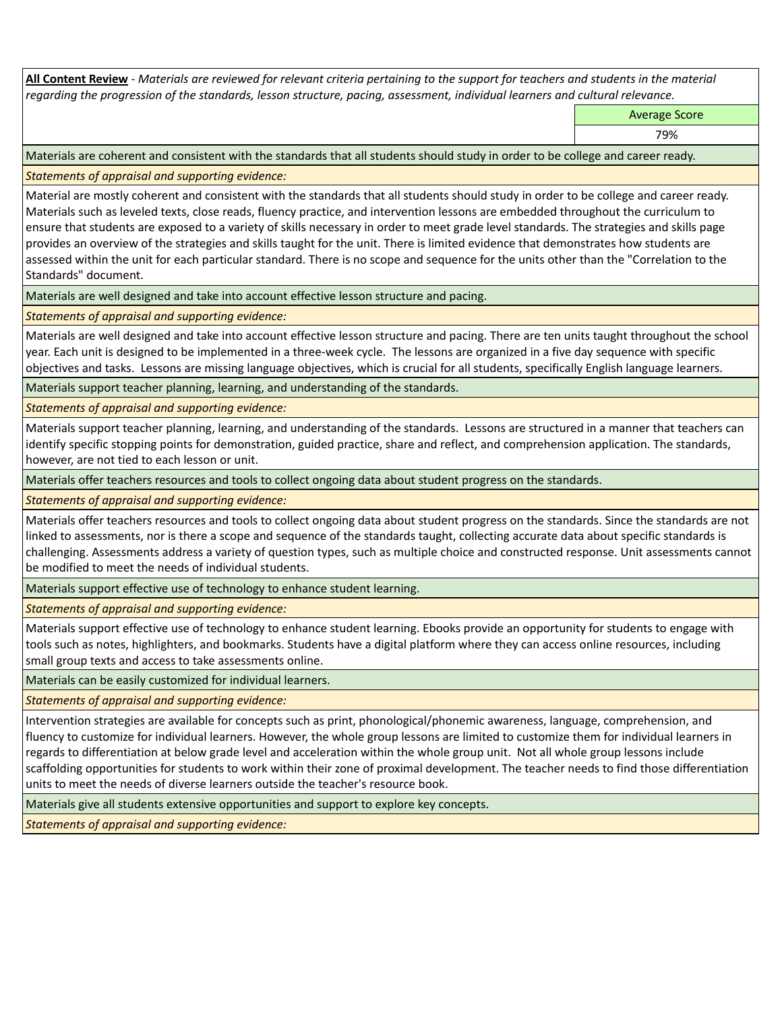**All Content Review** *- Materials are reviewed for relevant criteria pertaining to the support for teachers and students in the material regarding the progression of the standards, lesson structure, pacing, assessment, individual learners and cultural relevance.*

Average Score

79%

Materials are coherent and consistent with the standards that all students should study in order to be college and career ready.

*Statements of appraisal and supporting evidence:*

Material are mostly coherent and consistent with the standards that all students should study in order to be college and career ready. Materials such as leveled texts, close reads, fluency practice, and intervention lessons are embedded throughout the curriculum to ensure that students are exposed to a variety of skills necessary in order to meet grade level standards. The strategies and skills page provides an overview of the strategies and skills taught for the unit. There is limited evidence that demonstrates how students are assessed within the unit for each particular standard. There is no scope and sequence for the units other than the "Correlation to the Standards" document.

Materials are well designed and take into account effective lesson structure and pacing.

*Statements of appraisal and supporting evidence:*

Materials are well designed and take into account effective lesson structure and pacing. There are ten units taught throughout the school year. Each unit is designed to be implemented in a three-week cycle. The lessons are organized in a five day sequence with specific objectives and tasks. Lessons are missing language objectives, which is crucial for all students, specifically English language learners.

Materials support teacher planning, learning, and understanding of the standards.

*Statements of appraisal and supporting evidence:*

Materials support teacher planning, learning, and understanding of the standards. Lessons are structured in a manner that teachers can identify specific stopping points for demonstration, guided practice, share and reflect, and comprehension application. The standards, however, are not tied to each lesson or unit.

Materials offer teachers resources and tools to collect ongoing data about student progress on the standards.

*Statements of appraisal and supporting evidence:*

Materials offer teachers resources and tools to collect ongoing data about student progress on the standards. Since the standards are not linked to assessments, nor is there a scope and sequence of the standards taught, collecting accurate data about specific standards is challenging. Assessments address a variety of question types, such as multiple choice and constructed response. Unit assessments cannot be modified to meet the needs of individual students.

Materials support effective use of technology to enhance student learning.

*Statements of appraisal and supporting evidence:*

Materials support effective use of technology to enhance student learning. Ebooks provide an opportunity for students to engage with tools such as notes, highlighters, and bookmarks. Students have a digital platform where they can access online resources, including small group texts and access to take assessments online.

Materials can be easily customized for individual learners.

*Statements of appraisal and supporting evidence:* 

Intervention strategies are available for concepts such as print, phonological/phonemic awareness, language, comprehension, and fluency to customize for individual learners. However, the whole group lessons are limited to customize them for individual learners in regards to differentiation at below grade level and acceleration within the whole group unit. Not all whole group lessons include scaffolding opportunities for students to work within their zone of proximal development. The teacher needs to find those differentiation units to meet the needs of diverse learners outside the teacher's resource book.

Materials give all students extensive opportunities and support to explore key concepts.

*Statements of appraisal and supporting evidence:*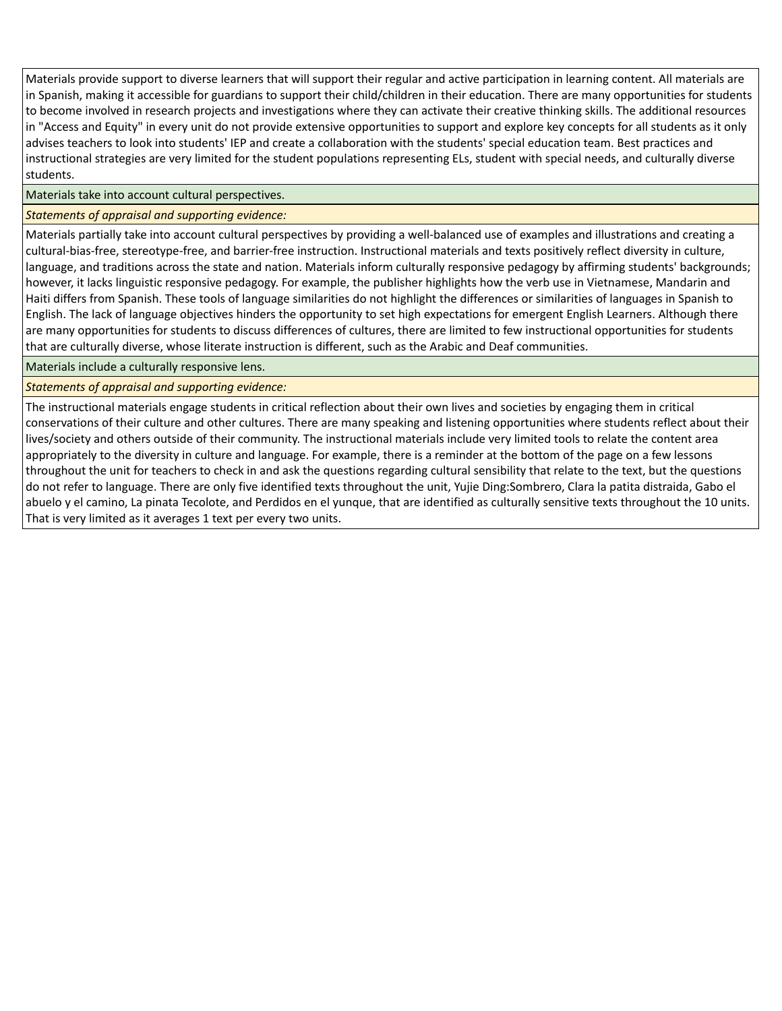Materials provide support to diverse learners that will support their regular and active participation in learning content. All materials are in Spanish, making it accessible for guardians to support their child/children in their education. There are many opportunities for students to become involved in research projects and investigations where they can activate their creative thinking skills. The additional resources in "Access and Equity" in every unit do not provide extensive opportunities to support and explore key concepts for all students as it only advises teachers to look into students' IEP and create a collaboration with the students' special education team. Best practices and instructional strategies are very limited for the student populations representing ELs, student with special needs, and culturally diverse students.

Materials take into account cultural perspectives.

## *Statements of appraisal and supporting evidence:*

Materials partially take into account cultural perspectives by providing a well-balanced use of examples and illustrations and creating a cultural-bias-free, stereotype-free, and barrier-free instruction. Instructional materials and texts positively reflect diversity in culture, language, and traditions across the state and nation. Materials inform culturally responsive pedagogy by affirming students' backgrounds; however, it lacks linguistic responsive pedagogy. For example, the publisher highlights how the verb use in Vietnamese, Mandarin and Haiti differs from Spanish. These tools of language similarities do not highlight the differences or similarities of languages in Spanish to English. The lack of language objectives hinders the opportunity to set high expectations for emergent English Learners. Although there are many opportunities for students to discuss differences of cultures, there are limited to few instructional opportunities for students that are culturally diverse, whose literate instruction is different, such as the Arabic and Deaf communities.

Materials include a culturally responsive lens.

*Statements of appraisal and supporting evidence:*

The instructional materials engage students in critical reflection about their own lives and societies by engaging them in critical conservations of their culture and other cultures. There are many speaking and listening opportunities where students reflect about their lives/society and others outside of their community. The instructional materials include very limited tools to relate the content area appropriately to the diversity in culture and language. For example, there is a reminder at the bottom of the page on a few lessons throughout the unit for teachers to check in and ask the questions regarding cultural sensibility that relate to the text, but the questions do not refer to language. There are only five identified texts throughout the unit, Yujie Ding:Sombrero, Clara la patita distraida, Gabo el abuelo y el camino, La pinata Tecolote, and Perdidos en el yunque, that are identified as culturally sensitive texts throughout the 10 units. That is very limited as it averages 1 text per every two units.